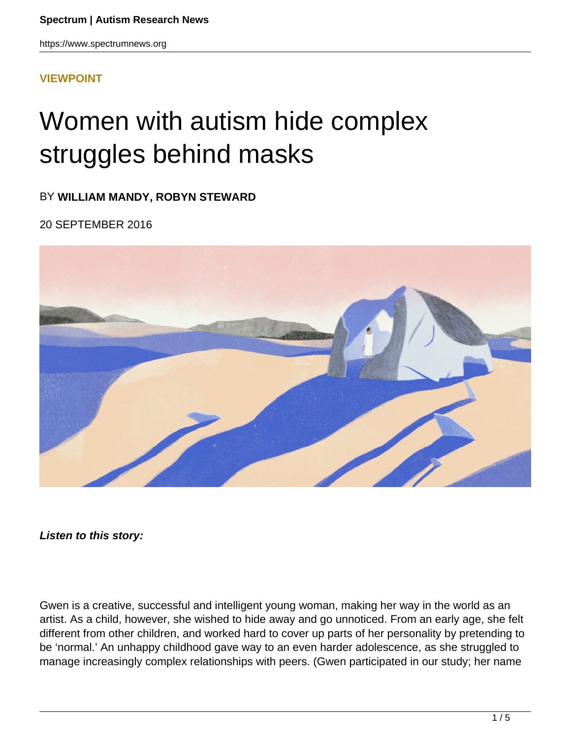https://www.spectrumnews.org

#### **[VIEWPOINT](HTTPS://WWW.SPECTRUMNEWS.ORG/OPINION/VIEWPOINT/)**

# Women with autism hide complex struggles behind masks

BY **WILLIAM MANDY, ROBYN STEWARD**

20 SEPTEMBER 2016



**Listen to this story:**

Gwen is a creative, successful and intelligent young woman, making her way in the world as an artist. As a child, however, she wished to hide away and go unnoticed. From an early age, she felt different from other children, and worked hard to cover up parts of her personality by pretending to be 'normal.' An unhappy childhood gave way to an even harder adolescence, as she struggled to manage increasingly complex relationships with peers. (Gwen participated in our study; her name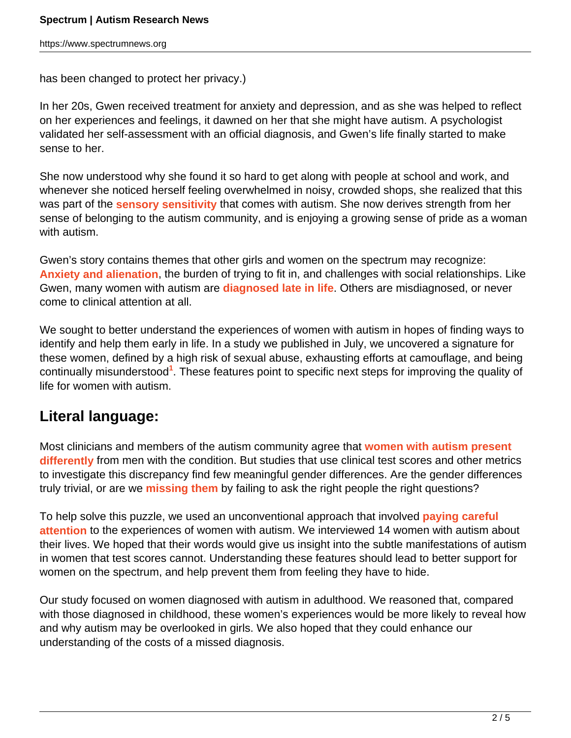has been changed to protect her privacy.)

In her 20s, Gwen received treatment for anxiety and depression, and as she was helped to reflect on her experiences and feelings, it dawned on her that she might have autism. A psychologist validated her self-assessment with an official diagnosis, and Gwen's life finally started to make sense to her.

She now understood why she found it so hard to get along with people at school and work, and whenever she noticed herself feeling overwhelmed in noisy, crowded shops, she realized that this was part of the **sensory sensitivity** that comes with autism. She now derives strength from her sense of belonging to the autism community, and is enjoying a growing sense of pride as a woman with autism.

Gwen's story contains themes that other girls and women on the spectrum may recognize: **Anxiety and alienation**, the burden of trying to fit in, and challenges with social relationships. Like Gwen, many women with autism are **diagnosed late in life**. Others are misdiagnosed, or never come to clinical attention at all.

We sought to better understand the experiences of women with autism in hopes of finding ways to identify and help them early in life. In a study we published in July, we uncovered a signature for these women, defined by a high risk of sexual abuse, exhausting efforts at camouflage, and being continually misunderstood**<sup>1</sup>** . These features point to specific next steps for improving the quality of life for women with autism.

## **Literal language:**

Most clinicians and members of the autism community agree that **women with autism present differently** from men with the condition. But studies that use clinical test scores and other metrics to investigate this discrepancy find few meaningful gender differences. Are the gender differences truly trivial, or are we **missing them** by failing to ask the right people the right questions?

To help solve this puzzle, we used an unconventional approach that involved **paying careful attention** to the experiences of women with autism. We interviewed 14 women with autism about their lives. We hoped that their words would give us insight into the subtle manifestations of autism in women that test scores cannot. Understanding these features should lead to better support for women on the spectrum, and help prevent them from feeling they have to hide.

Our study focused on women diagnosed with autism in adulthood. We reasoned that, compared with those diagnosed in childhood, these women's experiences would be more likely to reveal how and why autism may be overlooked in girls. We also hoped that they could enhance our understanding of the costs of a missed diagnosis.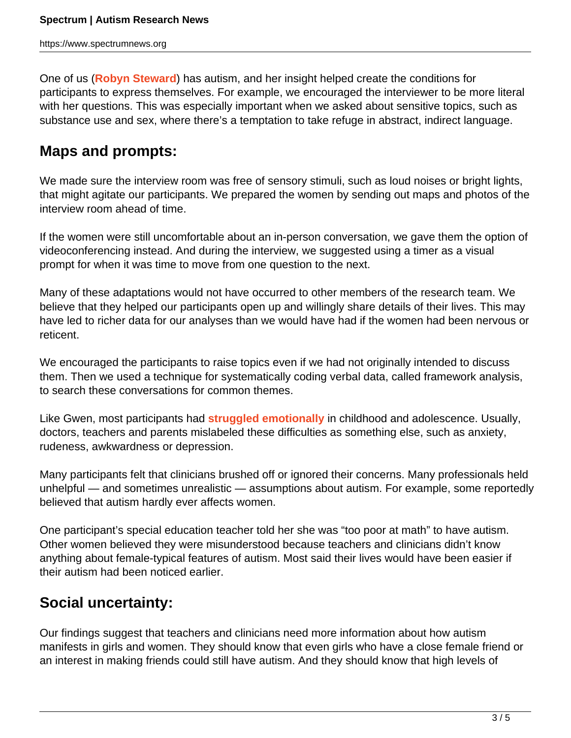One of us (**Robyn Steward**) has autism, and her insight helped create the conditions for participants to express themselves. For example, we encouraged the interviewer to be more literal with her questions. This was especially important when we asked about sensitive topics, such as substance use and sex, where there's a temptation to take refuge in abstract, indirect language.

## **Maps and prompts:**

We made sure the interview room was free of sensory stimuli, such as loud noises or bright lights, that might agitate our participants. We prepared the women by sending out maps and photos of the interview room ahead of time.

If the women were still uncomfortable about an in-person conversation, we gave them the option of videoconferencing instead. And during the interview, we suggested using a timer as a visual prompt for when it was time to move from one question to the next.

Many of these adaptations would not have occurred to other members of the research team. We believe that they helped our participants open up and willingly share details of their lives. This may have led to richer data for our analyses than we would have had if the women had been nervous or reticent.

We encouraged the participants to raise topics even if we had not originally intended to discuss them. Then we used a technique for systematically coding verbal data, called framework analysis, to search these conversations for common themes.

Like Gwen, most participants had **struggled emotionally** in childhood and adolescence. Usually, doctors, teachers and parents mislabeled these difficulties as something else, such as anxiety, rudeness, awkwardness or depression.

Many participants felt that clinicians brushed off or ignored their concerns. Many professionals held unhelpful — and sometimes unrealistic — assumptions about autism. For example, some reportedly believed that autism hardly ever affects women.

One participant's special education teacher told her she was "too poor at math" to have autism. Other women believed they were misunderstood because teachers and clinicians didn't know anything about female-typical features of autism. Most said their lives would have been easier if their autism had been noticed earlier.

## **Social uncertainty:**

Our findings suggest that teachers and clinicians need more information about how autism manifests in girls and women. They should know that even girls who have a close female friend or an interest in making friends could still have autism. And they should know that high levels of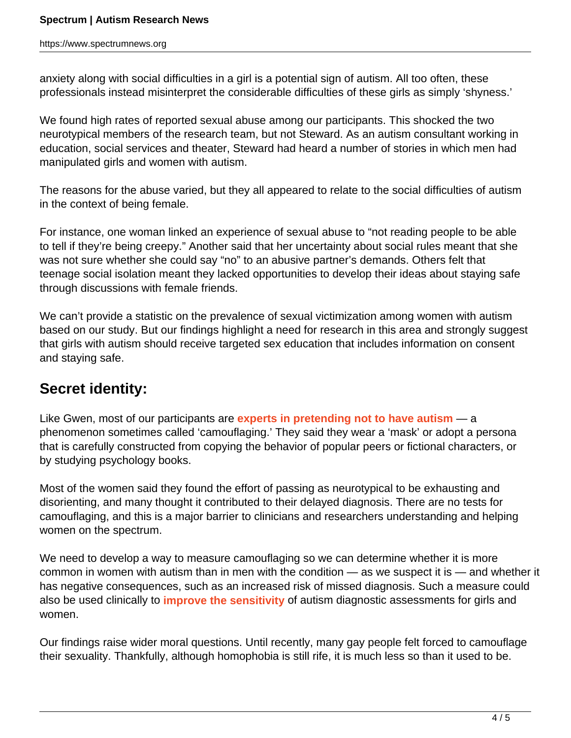anxiety along with social difficulties in a girl is a potential sign of autism. All too often, these professionals instead misinterpret the considerable difficulties of these girls as simply 'shyness.'

We found high rates of reported sexual abuse among our participants. This shocked the two neurotypical members of the research team, but not Steward. As an autism consultant working in education, social services and theater, Steward had heard a number of stories in which men had manipulated girls and women with autism.

The reasons for the abuse varied, but they all appeared to relate to the social difficulties of autism in the context of being female.

For instance, one woman linked an experience of sexual abuse to "not reading people to be able to tell if they're being creepy." Another said that her uncertainty about social rules meant that she was not sure whether she could say "no" to an abusive partner's demands. Others felt that teenage social isolation meant they lacked opportunities to develop their ideas about staying safe through discussions with female friends.

We can't provide a statistic on the prevalence of sexual victimization among women with autism based on our study. But our findings highlight a need for research in this area and strongly suggest that girls with autism should receive targeted sex education that includes information on consent and staying safe.

## **Secret identity:**

Like Gwen, most of our participants are **experts in pretending not to have autism** — a phenomenon sometimes called 'camouflaging.' They said they wear a 'mask' or adopt a persona that is carefully constructed from copying the behavior of popular peers or fictional characters, or by studying psychology books.

Most of the women said they found the effort of passing as neurotypical to be exhausting and disorienting, and many thought it contributed to their delayed diagnosis. There are no tests for camouflaging, and this is a major barrier to clinicians and researchers understanding and helping women on the spectrum.

We need to develop a way to measure camouflaging so we can determine whether it is more common in women with autism than in men with the condition — as we suspect it is — and whether it has negative consequences, such as an increased risk of missed diagnosis. Such a measure could also be used clinically to **improve the sensitivity** of autism diagnostic assessments for girls and women.

Our findings raise wider moral questions. Until recently, many gay people felt forced to camouflage their sexuality. Thankfully, although homophobia is still rife, it is much less so than it used to be.